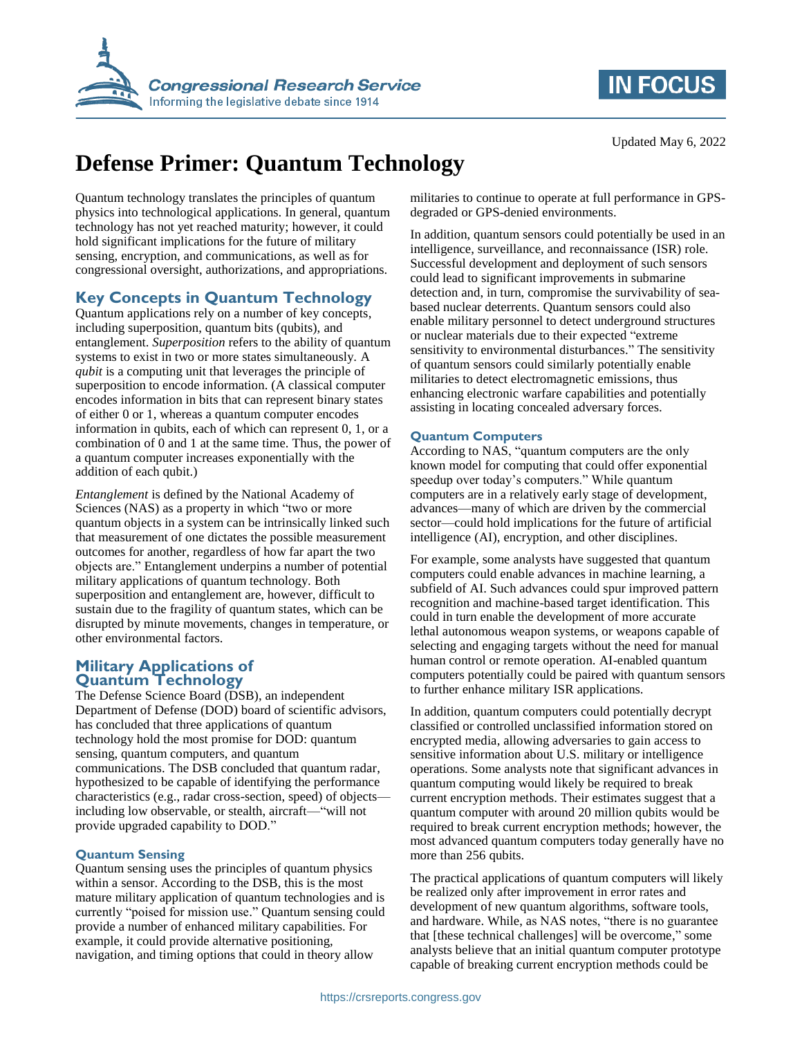



# **Defense Primer: Quantum Technology**

Quantum technology translates the principles of quantum physics into technological applications. In general, quantum technology has not yet reached maturity; however, it could hold significant implications for the future of military sensing, encryption, and communications, as well as for congressional oversight, authorizations, and appropriations.

# **Key Concepts in Quantum Technology**

Quantum applications rely on a number of key concepts, including superposition, quantum bits (qubits), and entanglement. *Superposition* refers to the ability of quantum systems to exist in two or more states simultaneously. A *qubit* is a computing unit that leverages the principle of superposition to encode information. (A classical computer encodes information in bits that can represent binary states of either 0 or 1, whereas a quantum computer encodes information in qubits, each of which can represent 0, 1, or a combination of 0 and 1 at the same time. Thus, the power of a quantum computer increases exponentially with the addition of each qubit.)

*Entanglement* is defined by the National Academy of Sciences (NAS) as a property in which "two or more quantum objects in a system can be intrinsically linked such that measurement of one dictates the possible measurement outcomes for another, regardless of how far apart the two objects are." Entanglement underpins a number of potential military applications of quantum technology. Both superposition and entanglement are, however, difficult to sustain due to the fragility of quantum states, which can be disrupted by minute movements, changes in temperature, or other environmental factors.

# **Military Applications of Quantum Technology**

The Defense Science Board (DSB), an independent Department of Defense (DOD) board of scientific advisors, has concluded that three applications of quantum technology hold the most promise for DOD: quantum sensing, quantum computers, and quantum communications. The DSB concluded that quantum radar, hypothesized to be capable of identifying the performance characteristics (e.g., radar cross-section, speed) of objects including low observable, or stealth, aircraft—"will not provide upgraded capability to DOD."

# **Quantum Sensing**

Quantum sensing uses the principles of quantum physics within a sensor. According to the DSB, this is the most mature military application of quantum technologies and is currently "poised for mission use." Quantum sensing could provide a number of enhanced military capabilities. For example, it could provide alternative positioning, navigation, and timing options that could in theory allow

militaries to continue to operate at full performance in GPSdegraded or GPS-denied environments.

In addition, quantum sensors could potentially be used in an intelligence, surveillance, and reconnaissance (ISR) role. Successful development and deployment of such sensors could lead to significant improvements in submarine detection and, in turn, compromise the survivability of seabased nuclear deterrents. Quantum sensors could also enable military personnel to detect underground structures or nuclear materials due to their expected "extreme sensitivity to environmental disturbances." The sensitivity of quantum sensors could similarly potentially enable militaries to detect electromagnetic emissions, thus enhancing electronic warfare capabilities and potentially assisting in locating concealed adversary forces.

#### **Quantum Computers**

According to NAS, "quantum computers are the only known model for computing that could offer exponential speedup over today's computers." While quantum computers are in a relatively early stage of development, advances—many of which are driven by the commercial sector—could hold implications for the future of artificial intelligence (AI), encryption, and other disciplines.

For example, some analysts have suggested that quantum computers could enable advances in machine learning, a subfield of AI. Such advances could spur improved pattern recognition and machine-based target identification. This could in turn enable the development of more accurate lethal autonomous weapon systems, or weapons capable of selecting and engaging targets without the need for manual human control or remote operation. AI-enabled quantum computers potentially could be paired with quantum sensors to further enhance military ISR applications.

In addition, quantum computers could potentially decrypt classified or controlled unclassified information stored on encrypted media, allowing adversaries to gain access to sensitive information about U.S. military or intelligence operations. Some analysts note that significant advances in quantum computing would likely be required to break current encryption methods. Their estimates suggest that a quantum computer with around 20 million qubits would be required to break current encryption methods; however, the most advanced quantum computers today generally have no more than 256 qubits.

The practical applications of quantum computers will likely be realized only after improvement in error rates and development of new quantum algorithms, software tools, and hardware. While, as NAS notes, "there is no guarantee that [these technical challenges] will be overcome," some analysts believe that an initial quantum computer prototype capable of breaking current encryption methods could be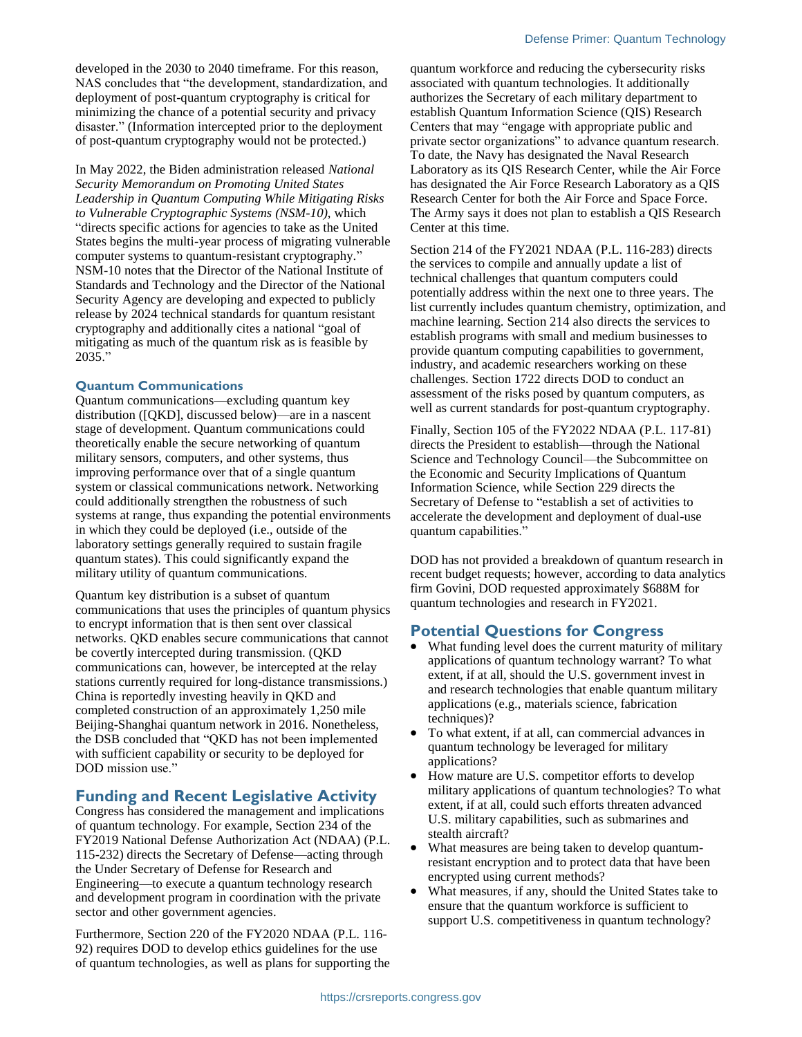developed in the 2030 to 2040 timeframe. For this reason, NAS concludes that "the development, standardization, and deployment of post-quantum cryptography is critical for minimizing the chance of a potential security and privacy disaster." (Information intercepted prior to the deployment of post-quantum cryptography would not be protected.)

In May 2022, the Biden administration released *National Security Memorandum on Promoting United States Leadership in Quantum Computing While Mitigating Risks to Vulnerable Cryptographic Systems (NSM-10)*, which "directs specific actions for agencies to take as the United States begins the multi-year process of migrating vulnerable computer systems to quantum-resistant cryptography." NSM-10 notes that the Director of the National Institute of Standards and Technology and the Director of the National Security Agency are developing and expected to publicly release by 2024 technical standards for quantum resistant cryptography and additionally cites a national "goal of mitigating as much of the quantum risk as is feasible by 2035."

#### **Quantum Communications**

Quantum communications—excluding quantum key distribution ([QKD], discussed below)—are in a nascent stage of development. Quantum communications could theoretically enable the secure networking of quantum military sensors, computers, and other systems, thus improving performance over that of a single quantum system or classical communications network. Networking could additionally strengthen the robustness of such systems at range, thus expanding the potential environments in which they could be deployed (i.e., outside of the laboratory settings generally required to sustain fragile quantum states). This could significantly expand the military utility of quantum communications.

Quantum key distribution is a subset of quantum communications that uses the principles of quantum physics to encrypt information that is then sent over classical networks. QKD enables secure communications that cannot be covertly intercepted during transmission. (QKD communications can, however, be intercepted at the relay stations currently required for long-distance transmissions.) China is reportedly investing heavily in QKD and completed construction of an approximately 1,250 mile Beijing-Shanghai quantum network in 2016. Nonetheless, the DSB concluded that "QKD has not been implemented with sufficient capability or security to be deployed for DOD mission use."

# **Funding and Recent Legislative Activity**

Congress has considered the management and implications of quantum technology. For example, Section 234 of the FY2019 National Defense Authorization Act (NDAA) (P.L. 115-232) directs the Secretary of Defense—acting through the Under Secretary of Defense for Research and Engineering—to execute a quantum technology research and development program in coordination with the private sector and other government agencies.

Furthermore, Section 220 of the FY2020 NDAA (P.L. 116- 92) requires DOD to develop ethics guidelines for the use of quantum technologies, as well as plans for supporting the quantum workforce and reducing the cybersecurity risks associated with quantum technologies. It additionally authorizes the Secretary of each military department to establish Quantum Information Science (QIS) Research Centers that may "engage with appropriate public and private sector organizations" to advance quantum research. To date, the Navy has designated the Naval Research Laboratory as its QIS Research Center, while the Air Force has designated the Air Force Research Laboratory as a QIS Research Center for both the Air Force and Space Force. The Army says it does not plan to establish a QIS Research Center at this time.

Section 214 of the FY2021 NDAA (P.L. 116-283) directs the services to compile and annually update a list of technical challenges that quantum computers could potentially address within the next one to three years. The list currently includes quantum chemistry, optimization, and machine learning. Section 214 also directs the services to establish programs with small and medium businesses to provide quantum computing capabilities to government, industry, and academic researchers working on these challenges. Section 1722 directs DOD to conduct an assessment of the risks posed by quantum computers, as well as current standards for post-quantum cryptography.

Finally, Section 105 of the FY2022 NDAA (P.L. 117-81) directs the President to establish—through the National Science and Technology Council—the Subcommittee on the Economic and Security Implications of Quantum Information Science, while Section 229 directs the Secretary of Defense to "establish a set of activities to accelerate the development and deployment of dual-use quantum capabilities."

DOD has not provided a breakdown of quantum research in recent budget requests; however, according to data analytics firm Govini, DOD requested approximately \$688M for quantum technologies and research in FY2021.

# **Potential Questions for Congress**

- What funding level does the current maturity of military applications of quantum technology warrant? To what extent, if at all, should the U.S. government invest in and research technologies that enable quantum military applications (e.g., materials science, fabrication techniques)?
- To what extent, if at all, can commercial advances in quantum technology be leveraged for military applications?
- How mature are U.S. competitor efforts to develop military applications of quantum technologies? To what extent, if at all, could such efforts threaten advanced U.S. military capabilities, such as submarines and stealth aircraft?
- What measures are being taken to develop quantumresistant encryption and to protect data that have been encrypted using current methods?
- What measures, if any, should the United States take to ensure that the quantum workforce is sufficient to support U.S. competitiveness in quantum technology?